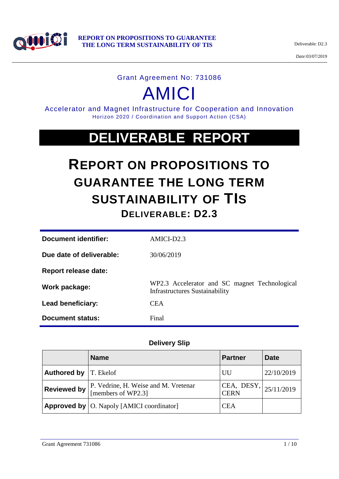

*Date:*03/07/2019

#### Grant Agreement No: 731086

# AMICI

Accelerator and Magnet Infrastructure for Cooperation and Innovation Horizon 2020 / Coordination and Support Action (CSA)

## **DELIVERABLE REPORT**

## **REPORT ON PROPOSITIONS TO GUARANTEE THE LONG TERM SUSTAINABILITY OF TIS DELIVERABLE: D2.3**

| Document identifier:     | $AMICI-D2.3$                                                                           |
|--------------------------|----------------------------------------------------------------------------------------|
| Due date of deliverable: | 30/06/2019                                                                             |
| Report release date:     |                                                                                        |
| Work package:            | WP2.3 Accelerator and SC magnet Technological<br><b>Infrastructures Sustainability</b> |
| Lead beneficiary:        | <b>CEA</b>                                                                             |
| Document status:         | Final                                                                                  |

#### **Delivery Slip**

|                                | <b>Name</b>                                                | <b>Partner</b>                        | <b>Date</b> |
|--------------------------------|------------------------------------------------------------|---------------------------------------|-------------|
| <b>Authored by   T. Ekelof</b> |                                                            | UU                                    | 22/10/2019  |
| Reviewed by                    | P. Vedrine, H. Weise and M. Vretenar<br>[members of WP2.3] | CEA, DESY,  25/11/2019<br><b>CERN</b> |             |
|                                | <b>Approved by   O. Napoly [AMICI coordinator]</b>         | <b>CEA</b>                            |             |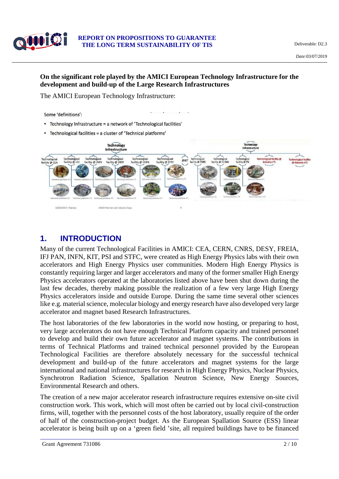

#### **REPORT ON PROPOSITIONS TO GUARANTEE THE LONG TERM SUSTAINABILITY OF TIS** Deliverable: D2.3

#### **On the significant role played by the AMICI European Technology Infrastructure for the development and build-up of the Large Research Infrastructures**

The AMICI European Technology Infrastructure:

#### Some 'definitions':

- Technology Infrastructure = a network of 'Technological facilities'
- Technological facilities = a cluster of 'Technical platforms'



## **1. INTRODUCTION**

Many of the current Technological Facilities in AMICI: CEA, CERN, CNRS, DESY, FREIA, IFJ PAN, INFN, KIT, PSI and STFC, were created as High Energy Physics labs with their own accelerators and High Energy Physics user communities. Modern High Energy Physics is constantly requiring larger and larger accelerators and many of the former smaller High Energy Physics accelerators operated at the laboratories listed above have been shut down during the last few decades, thereby making possible the realization of a few very large High Energy Physics accelerators inside and outside Europe. During the same time several other sciences like e.g. material science, molecular biology and energy research have also developed very large accelerator and magnet based Research Infrastructures.

The host laboratories of the few laboratories in the world now hosting, or preparing to host, very large accelerators do not have enough Technical Platform capacity and trained personnel to develop and build their own future accelerator and magnet systems. The contributions in terms of Technical Platforms and trained technical personnel provided by the European Technological Facilities are therefore absolutely necessary for the successful technical development and build-up of the future accelerators and magnet systems for the large international and national infrastructures for research in High Energy Physics, Nuclear Physics, Synchrotron Radiation Science, Spallation Neutron Science, New Energy Sources, Environmental Research and others.

The creation of a new major accelerator research infrastructure requires extensive on-site civil construction work. This work, which will most often be carried out by local civil-construction firms, will, together with the personnel costs of the host laboratory, usually require of the order of half of the construction-project budget. As the European Spallation Source (ESS) linear accelerator is being built up on a 'green field 'site, all required buildings have to be financed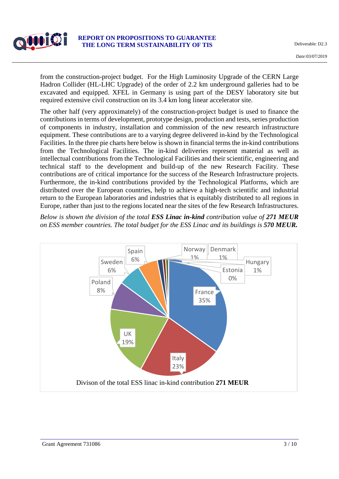

from the construction-project budget. For the High Luminosity Upgrade of the CERN Large Hadron Collider (HL-LHC Upgrade) of the order of 2.2 km underground galleries had to be excavated and equipped. XFEL in Germany is using part of the DESY laboratory site but required extensive civil construction on its 3.4 km long linear accelerator site.

The other half (very approximately) of the construction-project budget is used to finance the contributions in terms of development, prototype design, production and tests, series production of components in industry, installation and commission of the new research infrastructure equipment. These contributions are to a varying degree delivered in-kind by the Technological Facilities. In the three pie charts here below is shown in financial terms the in-kind contributions from the Technological Facilities. The in-kind deliveries represent material as well as intellectual contributions from the Technological Facilities and their scientific, engineering and technical staff to the development and build-up of the new Research Facility. These contributions are of critical importance for the success of the Research Infrastructure projects. Furthermore, the in-kind contributions provided by the Technological Platforms, which are distributed over the European countries, help to achieve a high-tech scientific and industrial return to the European laboratories and industries that is equitably distributed to all regions in Europe, rather than just to the regions located near the sites of the few Research Infrastructures.

*Below is shown the division of the total ESS Linac in-kind contribution value of 271 MEUR on ESS member countries. The total budget for the ESS Linac and its buildings is 570 MEUR.*

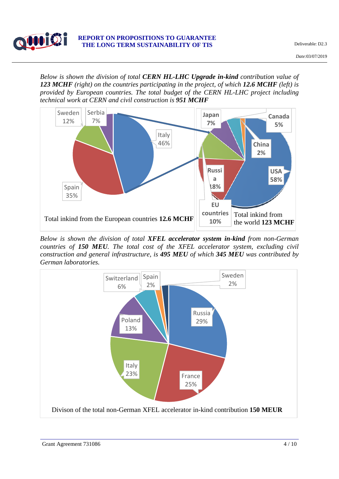

*Below is shown the division of total CERN HL-LHC Upgrade in-kind contribution value of 123 MCHF (right) on the countries participating in the project, of which 12.6 MCHF (left) is provided by European countries. The total budget of the CERN HL-LHC project including technical work at CERN and civil construction is 951 MCHF*



*Below is shown the division of total XFEL accelerator system in-kind from non-German countries of 150 MEU. The total cost of the XFEL accelerator system, excluding civil construction and general infrastructure, is 495 MEU of which 345 MEU was contributed by German laboratories.*

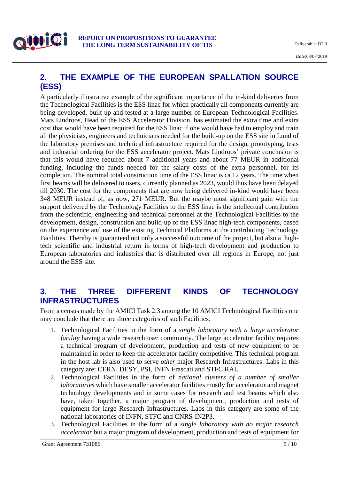

#### **2. THE EXAMPLE OF THE EUROPEAN SPALLATION SOURCE (ESS)**

A particularly illustrative example of the significant importance of the in-kind deliveries from the Technological Facilities is the ESS linac for which practically all components currently are being developed, built up and tested at a large number of European Technological Facilities. Mats Lindroos, Head of the ESS Accelerator Division, has estimated the extra time and extra cost that would have been required for the ESS linac if one would have had to employ and train all the physicists, engineers and technicians needed for the build-up on the ESS site in Lund of the laboratory premises and technical infrastructure required for the design, prototyping, tests and industrial ordering for the ESS accelerator project. Mats Lindroos' private conclusion is that this would have required about 7 additional years and about 77 MEUR in additional funding, including the funds needed for the salary costs of the extra personnel, for its completion. The nominal total construction time of the ESS linac is ca 12 years. The time when first beams will be delivered to users, currently planned as 2023, would thus have been delayed till 2030. The cost for the components that are now being delivered in-kind would have been 348 MEUR instead of, as now, 271 MEUR. But the maybe most significant gain with the support delivered by the Technology Facilities to the ESS linac is the intellectual contribution from the scientific, engineering and technical personnel at the Technological Facilities to the development, design, construction and build-up of the ESS linac high-tech components, based on the experience and use of the existing Technical Platforms at the contributing Technology Facilities. Thereby is guaranteed not only a successful outcome of the project, but also a hightech scientific and industrial return in terms of high-tech development and production to European laboratories and industries that is distributed over all regions in Europe, not just around the ESS site.

#### **3. THE THREE DIFFERENT KINDS OF TECHNOLOGY INFRASTRUCTURES**

From a census made by the AMICI Task 2.3 among the 10 AMICI Technological Facilities one may conclude that there are three categories of such Facilities:

- 1. Technological Facilities in the form of a *single laboratory with a large accelerator facility* having a wide research user community. The large accelerator facility requires a technical program of development, production and tests of new equipment to be maintained in order to keep the accelerator facility competitive. This technical program in the host lab is also used to serve *other* major Research Infrastructures. Labs in this category are: CERN, DESY, PSI, INFN Frascati and STFC RAL.
- 2. Technological Facilities in the form of *national clusters of a number of smaller laboratories* which have smaller accelerator facilities mostly for accelerator and magnet technology developments and in some cases for research and test beams which also have, taken together, a major program of development, production and tests of equipment for large Research Infrastructures. Labs in this category are some of the national laboratories of INFN, STFC and CNRS-IN2P3.
- 3. Technological Facilities in the form of a *single laboratory with no major research accelerator* but a major program of development, production and tests of equipment for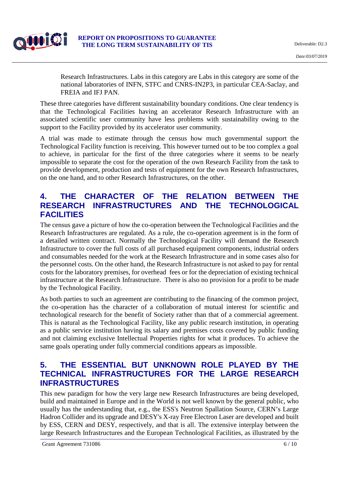

Research Infrastructures. Labs in this category are Labs in this category are some of the national laboratories of INFN, STFC and CNRS-IN2P3, in particular CEA-Saclay, and FREIA and IFJ PAN.

These three categories have different sustainability boundary conditions. One clear tendency is that the Technological Facilities having an accelerator Research Infrastructure with an associated scientific user community have less problems with sustainability owing to the support to the Facility provided by its accelerator user community.

A trial was made to estimate through the census how much governmental support the Technological Facility function is receiving. This however turned out to be too complex a goal to achieve, in particular for the first of the three categories where it seems to be nearly impossible to separate the cost for the operation of the own Research Facility from the task to provide development, production and tests of equipment for the own Research Infrastructures, on the one hand, and to other Research Infrastructures, on the other.

## **4. THE CHARACTER OF THE RELATION BETWEEN THE RESEARCH INFRASTRUCTURES AND THE TECHNOLOGICAL FACILITIES**

The census gave a picture of how the co-operation between the Technological Facilities and the Research Infrastructures are regulated. As a rule, the co-operation agreement is in the form of a detailed written contract. Normally the Technological Facility will demand the Research Infrastructure to cover the full costs of all purchased equipment components, industrial orders and consumables needed for the work at the Research Infrastructure and in some cases also for the personnel costs. On the other hand, the Research Infrastructure is not asked to pay for rental costs for the laboratory premises, for overhead fees or for the depreciation of existing technical infrastructure at the Research Infrastructure. There is also no provision for a profit to be made by the Technological Facility.

As both parties to such an agreement are contributing to the financing of the common project, the co-operation has the character of a collaboration of mutual interest for scientific and technological research for the benefit of Society rather than that of a commercial agreement. This is natural as the Technological Facility, like any public research institution, in operating as a public service institution having its salary and premises costs covered by public funding and not claiming exclusive Intellectual Properties rights for what it produces. To achieve the same goals operating under fully commercial conditions appears as impossible.

#### **5. THE ESSENTIAL BUT UNKNOWN ROLE PLAYED BY THE TECHNICAL INFRASTRUCTURES FOR THE LARGE RESEARCH INFRASTRUCTURES**

This new paradigm for how the very large new Research Infrastructures are being developed, build and maintained in Europe and in the World is not well known by the general public, who usually has the understanding that, e.g., the ESS's Neutron Spallation Source, CERN's Large Hadron Collider and its upgrade and DESY's X-ray Free Electron Laser are developed and built by ESS, CERN and DESY, respectively, and that is all. The extensive interplay between the large Research Infrastructures and the European Technological Facilities, as illustrated by the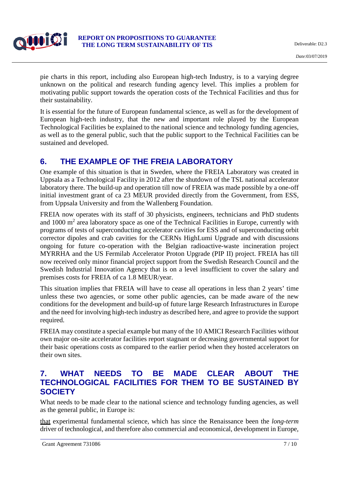

pie charts in this report, including also European high-tech Industry, is to a varying degree unknown on the political and research funding agency level. This implies a problem for motivating public support towards the operation costs of the Technical Facilities and thus for their sustainability.

It is essential for the future of European fundamental science, as well as for the development of European high-tech industry, that the new and important role played by the European Technological Facilities be explained to the national science and technology funding agencies, as well as to the general public, such that the public support to the Technical Facilities can be sustained and developed.

## **6. THE EXAMPLE OF THE FREIA LABORATORY**

One example of this situation is that in Sweden, where the FREIA Laboratory was created in Uppsala as a Technological Facility in 2012 after the shutdown of the TSL national accelerator laboratory there. The build-up and operation till now of FREIA was made possible by a one-off initial investment grant of ca 23 MEUR provided directly from the Government, from ESS, from Uppsala University and from the Wallenberg Foundation.

FREIA now operates with its staff of 30 physicists, engineers, technicians and PhD students and  $1000 \text{ m}^2$  area laboratory space as one of the Technical Facilities in Europe, currently with programs of tests of superconducting accelerator cavities for ESS and of superconducting orbit corrector dipoles and crab cavities for the CERNs HighLumi Upgrade and with discussions ongoing for future co-operation with the Belgian radioactive-waste incineration project MYRRHA and the US Fermilab Accelerator Proton Upgrade (PIP II) project. FREIA has till now received only minor financial project support from the Swedish Research Council and the Swedish Industrial Innovation Agency that is on a level insufficient to cover the salary and premises costs for FREIA of ca 1.8 MEUR/year.

This situation implies that FREIA will have to cease all operations in less than 2 years' time unless these two agencies, or some other public agencies, can be made aware of the new conditions for the development and build-up of future large Research Infrastructures in Europe and the need for involving high-tech industry as described here, and agree to provide the support required.

FREIA may constitute a special example but many of the 10 AMICI Research Facilities without own major on-site accelerator facilities report stagnant or decreasing governmental support for their basic operations costs as compared to the earlier period when they hosted accelerators on their own sites.

## **7. WHAT NEEDS TO BE MADE CLEAR ABOUT THE TECHNOLOGICAL FACILITIES FOR THEM TO BE SUSTAINED BY SOCIETY**

What needs to be made clear to the national science and technology funding agencies, as well as the general public, in Europe is:

that experimental fundamental science, which has since the Renaissance been the *long-term*  driver of technological, and therefore also commercial and economical, development in Europe,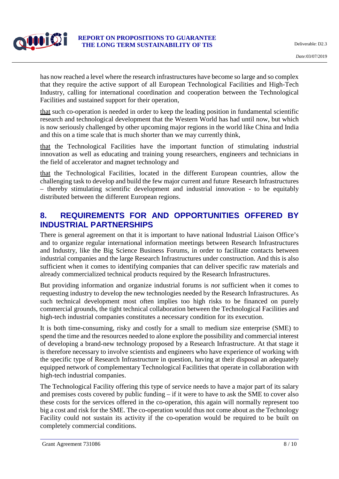

has now reached a level where the research infrastructures have become so large and so complex that they require the active support of all European Technological Facilities and High-Tech Industry, calling for international coordination and cooperation between the Technological Facilities and sustained support for their operation,

that such co-operation is needed in order to keep the leading position in fundamental scientific research and technological development that the Western World has had until now, but which is now seriously challenged by other upcoming major regions in the world like China and India and this on a time scale that is much shorter than we may currently think,

that the Technological Facilities have the important function of stimulating industrial innovation as well as educating and training young researchers, engineers and technicians in the field of accelerator and magnet technology and

that the Technological Facilities, located in the different European countries, allow the challenging task to develop and build the few major current and future Research Infrastructures – thereby stimulating scientific development and industrial innovation - to be equitably distributed between the different European regions.

#### **8. REQUIREMENTS FOR AND OPPORTUNITIES OFFERED BY INDUSTRIAL PARTNERSHIPS**

There is general agreement on that it is important to have national Industrial Liaison Office's and to organize regular international information meetings between Research Infrastructures and Industry, like the Big Science Business Forums, in order to facilitate contacts between industrial companies and the large Research Infrastructures under construction. And this is also sufficient when it comes to identifying companies that can deliver specific raw materials and already commercialized technical products required by the Research Infrastructures.

But providing information and organize industrial forums is *not* sufficient when it comes to requesting industry to develop the new technologies needed by the Research Infrastructures. As such technical development most often implies too high risks to be financed on purely commercial grounds, the tight technical collaboration between the Technological Facilities and high-tech industrial companies constitutes a necessary condition for its execution.

It is both time-consuming, risky and costly for a small to medium size enterprise (SME) to spend the time and the resources needed to alone explore the possibility and commercial interest of developing a brand-new technology proposed by a Research Infrastructure. At that stage it is therefore necessary to involve scientists and engineers who have experience of working with the specific type of Research Infrastructure in question, having at their disposal an adequately equipped network of complementary Technological Facilities that operate in collaboration with high-tech industrial companies.

The Technological Facility offering this type of service needs to have a major part of its salary and premises costs covered by public funding – if it were to have to ask the SME to cover also these costs for the services offered in the co-operation, this again will normally represent too big a cost and risk for the SME. The co-operation would thus not come about as the Technology Facility could not sustain its activity if the co-operation would be required to be built on completely commercial conditions.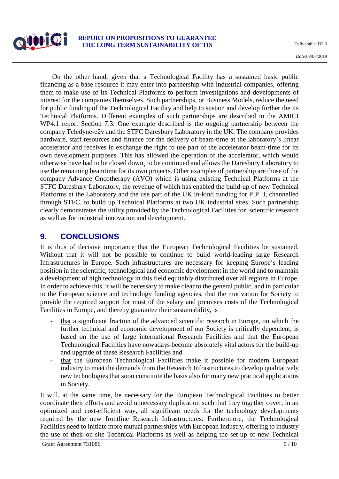

On the other hand, given that a Technological Facility has a sustained basic public financing as a base resource it may enter into partnership with industrial companies, offering them to make use of its Technical Platforms to perform investigations and developments of interest for the companies themselves. Such partnerships, or Business Models, reduce the need for public funding of the Technological Facility and help to sustain and develop further the its Technical Platforms. Different examples of such partnerships are described in the AMICI WP4.1 report Section 7.3. One example described is the ongoing partnership between the company Teledyne-e2v and the STFC Daresbury Laboratory in the UK. The company provides hardware, staff resources and finance for the delivery of beam-time at the laboratory's linear accelerator and receives in exchange the right to use part of the accelerator beam-time for its own development purposes. This has allowed the operation of the accelerator, which would otherwise have had to be closed down¸ to be continued and allows the Daresbury Laboratory to use the remaining beamtime for its own projects. Other examples of partnership are those of the company Advance Oncotherapy (AVO) which is using existing Technical Platforms at the STFC Daresbury Laboratory, the revenue of which has enabled the build-up of new Technical Platforms at the Laboratory and the use part of the UK in-kind funding for PIP II, channelled through STFC, to build up Technical Platforms at two UK industrial sites. Such partnership clearly demonstrates the utility provided by the Technological Facilities for scientific research as well as for industrial innovation and development.

#### **9. CONCLUSIONS**

It is thus of decisive importance that the European Technological Facilities be sustained. Without that it will not be possible to continue to build world-leading large Research Infrastructures in Europe. Such infrastructures are necessary for keeping Europe's leading position in the scientific, technological and economic development in the world and to maintain a development of high technology in this field equitably distributed over all regions in Europe. In order to achieve this, it will be necessary to make clear to the general public, and in particular to the European science and technology funding agencies, that the motivation for Society to provide the required support for most of the salary and premises costs of the Technological Facilities in Europe, and thereby guarantee their sustainability, is

- **-** that a significant fraction of the advanced scientific research in Europe, on which the further technical and economic development of our Society is critically dependent, is based on the use of large international Research Facilities and that the European Technological Facilities have nowadays become absolutely vital actors for the build-up and upgrade of these Research Facilities and
- **-** that the European Technological Facilities make it possible for modern European industry to meet the demands from the Research Infrastructures to develop qualitatively new technologies that soon constitute the basis also for many new practical applications in Society.

It will, at the same time, be necessary for the European Technological Facilities to better coordinate their efforts and avoid unnecessary duplication such that they together cover, in an optimized and cost-efficient way, all significant needs for the technology developments required by the new frontline Research Infrastructures. Furthermore, the Technological Facilities need to initiate more mutual partnerships with European Industry, offering to industry the use of their on-site Technical Platforms as well as helping the set-up of new Technical